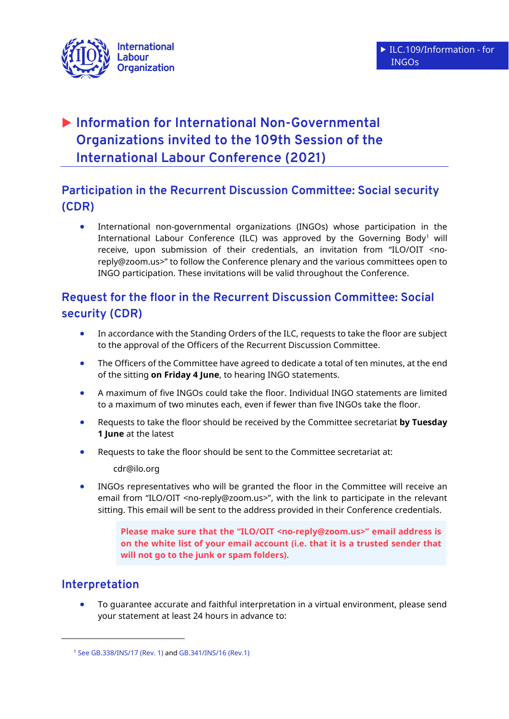

# **Information for International Non-Governmental Organizations invited to the 109th Session of the International Labour Conference (2021)**

## **Participation in the Recurrent Discussion Committee: Social security (CDR)**

 International non-governmental organizations (INGOs) whose participation in the International Labour Conference (ILC) was approved by the Governing Body<sup>1</sup> will receive, upon submission of their credentials, an invitation from "ILO/OIT <noreply@zoom.us>" to follow the Conference plenary and the various committees open to INGO participation. These invitations will be valid throughout the Conference.

### **Request for the floor in the Recurrent Discussion Committee: Social security (CDR)**

- In accordance with the Standing Orders of the ILC, requests to take the floor are subject to the approval of the Officers of the Recurrent Discussion Committee.
- The Officers of the Committee have agreed to dedicate a total of ten minutes, at the end of the sitting **on Friday 4 June**, to hearing INGO statements.
- A maximum of five INGOs could take the floor. Individual INGO statements are limited to a maximum of two minutes each, even if fewer than five INGOs take the floor.
- Requests to take the floor should be received by the Committee secretariat **by Tuesday 1 June** at the latest
- Requests to take the floor should be sent to the Committee secretariat at:

cdr@ilo.org

 INGOs representatives who will be granted the floor in the Committee will receive an email from "ILO/OIT <no-reply@zoom.us>", with the link to participate in the relevant sitting. This email will be sent to the address provided in their Conference credentials.

> **Please make sure that the "ILO/OIT <no-reply@zoom.us>" email address is on the white list of your email account (i.e. that it is a trusted sender that will not go to the junk or spam folders).**

### **Interpretation**

**.** 

 To guarantee accurate and faithful interpretation in a virtual environment, please send your statement at least 24 hours in advance to:

<sup>1</sup> [See GB.338/INS/17 \(Rev. 1\)](https://www.ilo.org/gb/GBSessions/GB338/ins/WCMS_738388/lang--en/index.htm) an[d GB.341/INS/16 \(Rev.1\)](https://www.ilo.org/gb/GBSessions/GB341/ins/WCMS_775410/lang--en/index.htm)